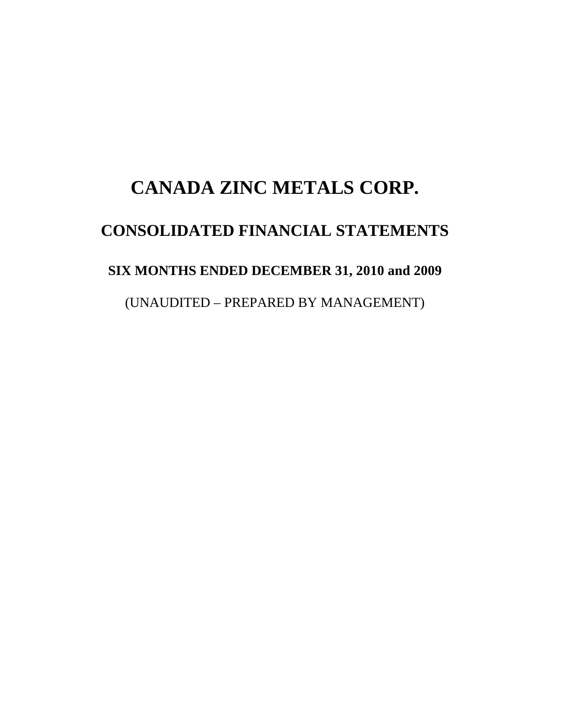# **CANADA ZINC METALS CORP. CONSOLIDATED FINANCIAL STATEMENTS SIX MONTHS ENDED DECEMBER 31, 2010 and 2009**  (UNAUDITED – PREPARED BY MANAGEMENT)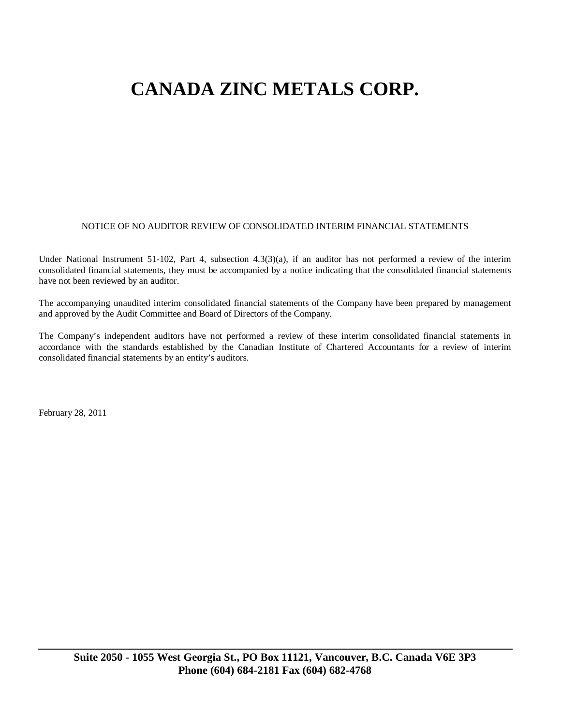#### NOTICE OF NO AUDITOR REVIEW OF CONSOLIDATED INTERIM FINANCIAL STATEMENTS

Under National Instrument 51-102, Part 4, subsection 4.3(3)(a), if an auditor has not performed a review of the interim consolidated financial statements, they must be accompanied by a notice indicating that the consolidated financial statements have not been reviewed by an auditor.

The accompanying unaudited interim consolidated financial statements of the Company have been prepared by management and approved by the Audit Committee and Board of Directors of the Company.

The Company's independent auditors have not performed a review of these interim consolidated financial statements in accordance with the standards established by the Canadian Institute of Chartered Accountants for a review of interim consolidated financial statements by an entity's auditors.

February 28, 2011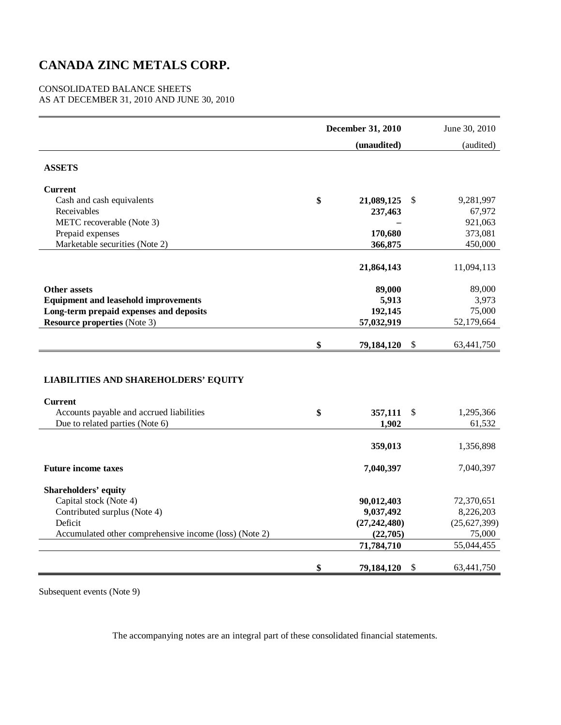#### CONSOLIDATED BALANCE SHEETS AS AT DECEMBER 31, 2010 AND JUNE 30, 2010

|                                                                                                                                              | December 31, 2010 |                  |    | June 30, 2010       |
|----------------------------------------------------------------------------------------------------------------------------------------------|-------------------|------------------|----|---------------------|
|                                                                                                                                              |                   | (unaudited)      |    | (audited)           |
| <b>ASSETS</b>                                                                                                                                |                   |                  |    |                     |
| <b>Current</b>                                                                                                                               |                   |                  |    |                     |
| Cash and cash equivalents                                                                                                                    | \$                | 21,089,125       | \$ | 9,281,997           |
| Receivables                                                                                                                                  |                   | 237,463          |    | 67,972              |
| METC recoverable (Note 3)                                                                                                                    |                   |                  |    | 921,063             |
| Prepaid expenses                                                                                                                             |                   | 170,680          |    | 373,081             |
| Marketable securities (Note 2)                                                                                                               |                   | 366,875          |    | 450,000             |
|                                                                                                                                              |                   | 21,864,143       |    | 11,094,113          |
| <b>Other assets</b>                                                                                                                          |                   | 89,000           |    | 89,000              |
| <b>Equipment and leasehold improvements</b>                                                                                                  |                   | 5,913            |    | 3,973               |
| Long-term prepaid expenses and deposits                                                                                                      |                   | 192,145          |    | 75,000              |
| <b>Resource properties</b> (Note 3)                                                                                                          |                   | 57,032,919       |    | 52,179,664          |
|                                                                                                                                              | \$                | 79,184,120       | \$ | 63,441,750          |
| <b>LIABILITIES AND SHAREHOLDERS' EQUITY</b><br><b>Current</b><br>Accounts payable and accrued liabilities<br>Due to related parties (Note 6) | \$                | 357,111<br>1,902 | \$ | 1,295,366<br>61,532 |
|                                                                                                                                              |                   |                  |    |                     |
|                                                                                                                                              |                   | 359,013          |    | 1,356,898           |
| <b>Future income taxes</b>                                                                                                                   |                   | 7,040,397        |    | 7,040,397           |
| <b>Shareholders' equity</b>                                                                                                                  |                   |                  |    |                     |
| Capital stock (Note 4)                                                                                                                       |                   | 90,012,403       |    | 72,370,651          |
| Contributed surplus (Note 4)                                                                                                                 |                   | 9,037,492        |    | 8,226,203           |
| Deficit                                                                                                                                      |                   | (27, 242, 480)   |    | (25,627,399)        |
| Accumulated other comprehensive income (loss) (Note 2)                                                                                       |                   | (22,705)         |    | 75,000              |
|                                                                                                                                              |                   | 71,784,710       |    | 55,044,455          |
|                                                                                                                                              | \$                | 79,184,120       | \$ | 63,441,750          |

Subsequent events (Note 9)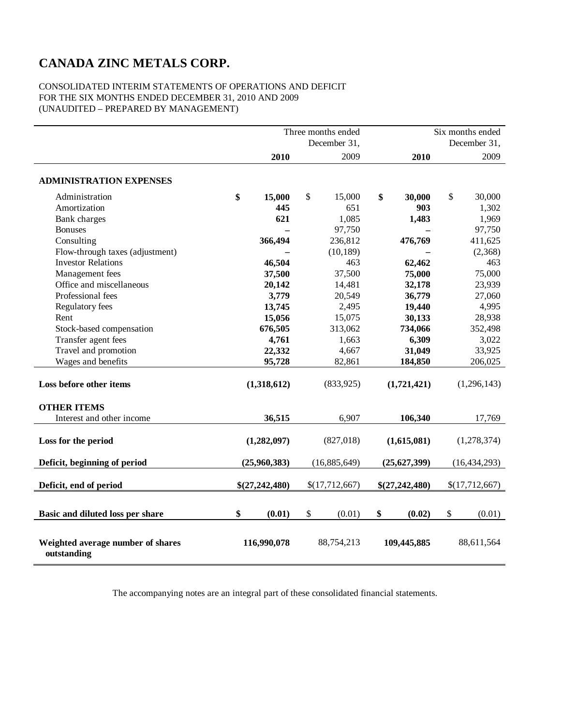#### CONSOLIDATED INTERIM STATEMENTS OF OPERATIONS AND DEFICIT FOR THE SIX MONTHS ENDED DECEMBER 31, 2010 AND 2009 (UNAUDITED – PREPARED BY MANAGEMENT)

|                                                  |                | Three months ended | Six months ended |                |  |
|--------------------------------------------------|----------------|--------------------|------------------|----------------|--|
|                                                  |                | December 31,       | December 31,     |                |  |
|                                                  | 2010           | 2009               | 2010             | 2009           |  |
|                                                  |                |                    |                  |                |  |
| <b>ADMINISTRATION EXPENSES</b>                   |                |                    |                  |                |  |
| Administration                                   | \$<br>15,000   | \$<br>15,000       | \$<br>30,000     | \$<br>30,000   |  |
| Amortization                                     | 445            | 651                | 903              | 1,302          |  |
| Bank charges                                     | 621            | 1,085              | 1,483            | 1,969          |  |
| <b>Bonuses</b>                                   |                | 97,750             |                  | 97,750         |  |
| Consulting                                       | 366,494        | 236,812            | 476,769          | 411,625        |  |
| Flow-through taxes (adjustment)                  |                | (10, 189)          |                  | (2,368)        |  |
| <b>Investor Relations</b>                        | 46,504         | 463                | 62,462           | 463            |  |
| Management fees                                  | 37,500         | 37,500             | 75,000           | 75,000         |  |
| Office and miscellaneous                         | 20,142         | 14,481             | 32,178           | 23,939         |  |
| Professional fees                                | 3,779          | 20,549             | 36,779           | 27,060         |  |
| Regulatory fees                                  | 13,745         | 2,495              | 19,440           | 4,995          |  |
| Rent                                             | 15,056         | 15,075             | 30,133           | 28,938         |  |
| Stock-based compensation                         | 676,505        | 313,062            | 734,066          | 352,498        |  |
| Transfer agent fees                              | 4,761          | 1,663              | 6,309            | 3,022          |  |
| Travel and promotion                             | 22,332         | 4,667              | 31,049           | 33,925         |  |
| Wages and benefits                               | 95,728         | 82,861             | 184,850          | 206,025        |  |
|                                                  |                |                    |                  |                |  |
| Loss before other items                          | (1,318,612)    | (833,925)          | (1,721,421)      | (1, 296, 143)  |  |
| <b>OTHER ITEMS</b>                               |                |                    |                  |                |  |
| Interest and other income                        | 36,515         | 6,907              | 106,340          | 17,769         |  |
|                                                  |                |                    |                  |                |  |
| Loss for the period                              | (1,282,097)    | (827, 018)         | (1,615,081)      | (1,278,374)    |  |
|                                                  |                |                    |                  |                |  |
| Deficit, beginning of period                     | (25,960,383)   | (16,885,649)       | (25,627,399)     | (16, 434, 293) |  |
| Deficit, end of period                           | \$(27,242,480) | \$(17,712,667)     | \$(27,242,480)   | \$(17,712,667) |  |
|                                                  |                |                    |                  |                |  |
|                                                  |                |                    |                  |                |  |
| Basic and diluted loss per share                 | \$<br>(0.01)   | \$<br>(0.01)       | \$<br>(0.02)     | \$<br>(0.01)   |  |
|                                                  |                |                    |                  |                |  |
| Weighted average number of shares<br>outstanding | 116,990,078    | 88,754,213         | 109,445,885      | 88,611,564     |  |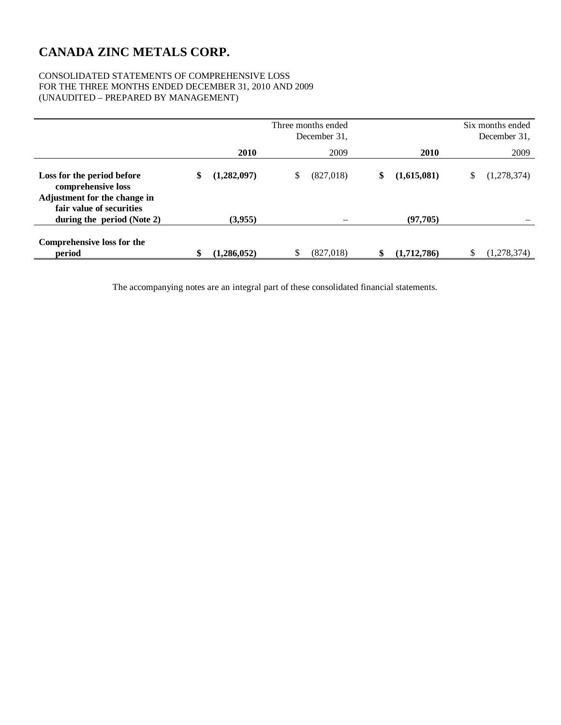#### CONSOLIDATED STATEMENTS OF COMPREHENSIVE LOSS FOR THE THREE MONTHS ENDED DECEMBER 31, 2010 AND 2009 (UNAUDITED – PREPARED BY MANAGEMENT)

|                                                                                  |                   | Three months ended<br>December 31. |                   | Six months ended<br>December 31, |
|----------------------------------------------------------------------------------|-------------------|------------------------------------|-------------------|----------------------------------|
|                                                                                  | 2010              | 2009                               | 2010              | 2009                             |
| Loss for the period before<br>comprehensive loss<br>Adjustment for the change in | \$<br>(1,282,097) | \$<br>(827,018)                    | \$<br>(1,615,081) | \$<br>(1,278,374)                |
| fair value of securities<br>during the period (Note 2)                           | (3,955)           |                                    | (97,705)          |                                  |
| Comprehensive loss for the<br>period                                             | \$<br>(1,286,052) | \$<br>(827, 018)                   | \$<br>(1,712,786) | \$<br>(1,278,374)                |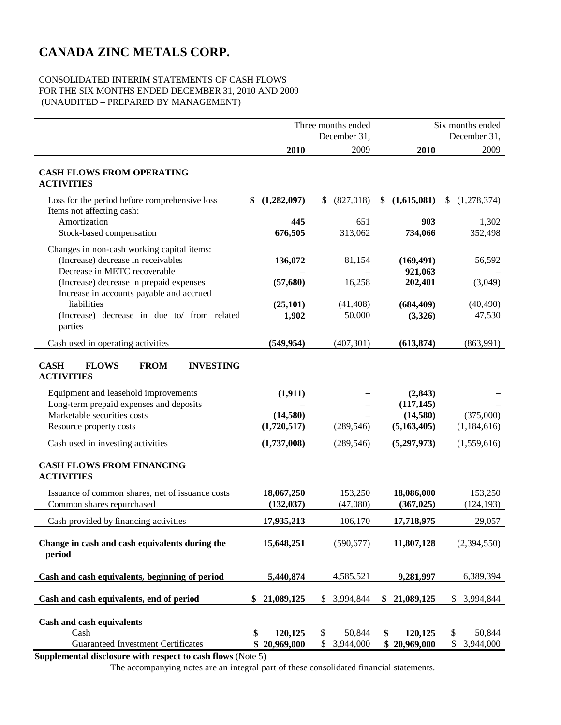#### CONSOLIDATED INTERIM STATEMENTS OF CASH FLOWS FOR THE SIX MONTHS ENDED DECEMBER 31, 2010 AND 2009 (UNAUDITED – PREPARED BY MANAGEMENT)

|                                                                                                                     |                                   | Three months ended<br>December 31, | Six months ended<br>December 31, |                                 |
|---------------------------------------------------------------------------------------------------------------------|-----------------------------------|------------------------------------|----------------------------------|---------------------------------|
|                                                                                                                     | 2010                              | 2009                               | 2010                             | 2009                            |
| <b>CASH FLOWS FROM OPERATING</b><br><b>ACTIVITIES</b>                                                               |                                   |                                    |                                  |                                 |
| Loss for the period before comprehensive loss<br>Items not affecting cash:                                          | (1,282,097)<br>S.                 | (827,018)<br>S.                    | (1,615,081)<br>\$                | (1,278,374)                     |
| Amortization<br>Stock-based compensation                                                                            | 445<br>676,505                    | 651<br>313,062                     | 903<br>734,066                   | 1,302<br>352,498                |
| Changes in non-cash working capital items:<br>(Increase) decrease in receivables                                    | 136,072                           | 81,154                             | (169, 491)                       | 56,592                          |
| Decrease in METC recoverable<br>(Increase) decrease in prepaid expenses<br>Increase in accounts payable and accrued | (57, 680)                         | 16,258                             | 921,063<br>202,401               | (3,049)                         |
| liabilities<br>(Increase) decrease in due to/ from related<br>parties                                               | (25, 101)<br>1,902                | (41, 408)<br>50,000                | (684, 409)<br>(3,326)            | (40, 490)<br>47,530             |
| Cash used in operating activities                                                                                   | (549, 954)                        | (407, 301)                         | (613, 874)                       | (863,991)                       |
| <b>CASH</b><br><b>FLOWS</b><br><b>FROM</b><br><b>INVESTING</b><br><b>ACTIVITIES</b>                                 |                                   |                                    |                                  |                                 |
| Equipment and leasehold improvements<br>Long-term prepaid expenses and deposits                                     | (1, 911)                          |                                    | (2, 843)<br>(117, 145)           |                                 |
| Marketable securities costs<br>Resource property costs                                                              | (14,580)<br>(1,720,517)           | (289, 546)                         | (14,580)<br>(5,163,405)          | (375,000)<br>(1,184,616)        |
| Cash used in investing activities                                                                                   | (1,737,008)                       | (289, 546)                         | (5,297,973)                      | (1,559,616)                     |
| <b>CASH FLOWS FROM FINANCING</b><br><b>ACTIVITIES</b>                                                               |                                   |                                    |                                  |                                 |
| Issuance of common shares, net of issuance costs<br>Common shares repurchased                                       | 18,067,250<br>(132, 037)          | 153,250<br>(47,080)                | 18,086,000<br>(367, 025)         | 153,250<br>(124, 193)           |
| Cash provided by financing activities                                                                               | 17,935,213                        | 106,170                            | 17,718,975                       | 29,057                          |
| Change in cash and cash equivalents during the<br>period                                                            | 15,648,251                        | (590, 677)                         | 11,807,128                       | (2,394,550)                     |
| Cash and cash equivalents, beginning of period                                                                      | 5,440,874                         | 4,585,521                          | 9,281,997                        | 6,389,394                       |
| Cash and cash equivalents, end of period                                                                            | \$<br>21,089,125                  | \$<br>3,994,844                    | \$21,089,125                     | \$<br>3,994,844                 |
| Cash and cash equivalents<br>Cash<br><b>Guaranteed Investment Certificates</b>                                      | 120,125<br>\$<br>20,969,000<br>\$ | \$<br>50,844<br>\$<br>3,944,000    | \$<br>120,125<br>\$20,969,000    | \$<br>50,844<br>\$<br>3,944,000 |

**Supplemental disclosure with respect to cash flows** (Note 5)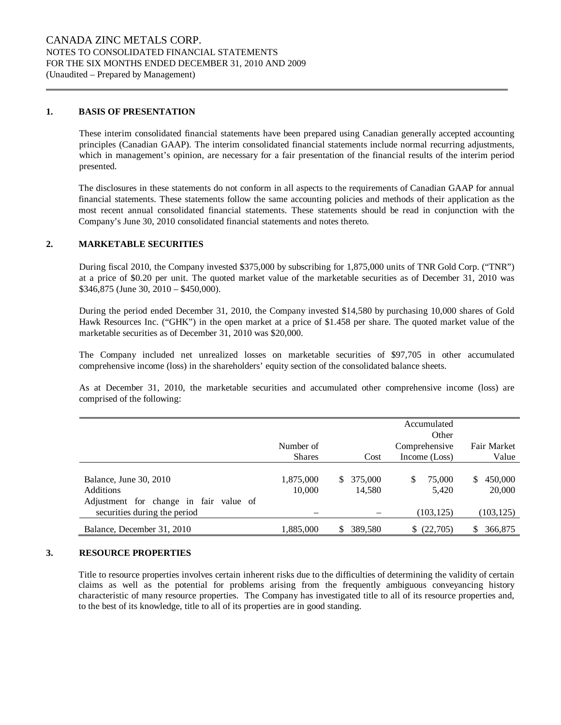#### **1. BASIS OF PRESENTATION**

These interim consolidated financial statements have been prepared using Canadian generally accepted accounting principles (Canadian GAAP). The interim consolidated financial statements include normal recurring adjustments, which in management's opinion, are necessary for a fair presentation of the financial results of the interim period presented.

The disclosures in these statements do not conform in all aspects to the requirements of Canadian GAAP for annual financial statements. These statements follow the same accounting policies and methods of their application as the most recent annual consolidated financial statements. These statements should be read in conjunction with the Company's June 30, 2010 consolidated financial statements and notes thereto.

#### **2. MARKETABLE SECURITIES**

During fiscal 2010, the Company invested \$375,000 by subscribing for 1,875,000 units of TNR Gold Corp. ("TNR") at a price of \$0.20 per unit. The quoted market value of the marketable securities as of December 31, 2010 was \$346,875 (June 30, 2010 – \$450,000).

During the period ended December 31, 2010, the Company invested \$14,580 by purchasing 10,000 shares of Gold Hawk Resources Inc. ("GHK") in the open market at a price of \$1.458 per share. The quoted market value of the marketable securities as of December 31, 2010 was \$20,000.

The Company included net unrealized losses on marketable securities of \$97,705 in other accumulated comprehensive income (loss) in the shareholders' equity section of the consolidated balance sheets.

As at December 31, 2010, the marketable securities and accumulated other comprehensive income (loss) are comprised of the following:

|                                                                        | Number of           |                         | Accumulated<br>Other<br>Comprehensive | Fair Market             |
|------------------------------------------------------------------------|---------------------|-------------------------|---------------------------------------|-------------------------|
|                                                                        | <b>Shares</b>       | Cost                    | Income (Loss)                         | Value                   |
| Balance, June 30, 2010<br><b>Additions</b>                             | 1,875,000<br>10,000 | 375,000<br>S.<br>14.580 | 75,000<br>S<br>5,420                  | 450,000<br>S.<br>20,000 |
| Adjustment for change in fair value of<br>securities during the period |                     |                         | (103, 125)                            | (103, 125)              |
| Balance, December 31, 2010                                             | 1,885,000           | 389,580<br>S            | \$ (22,705)                           | 366,875                 |

#### **3. RESOURCE PROPERTIES**

Title to resource properties involves certain inherent risks due to the difficulties of determining the validity of certain claims as well as the potential for problems arising from the frequently ambiguous conveyancing history characteristic of many resource properties. The Company has investigated title to all of its resource properties and, to the best of its knowledge, title to all of its properties are in good standing.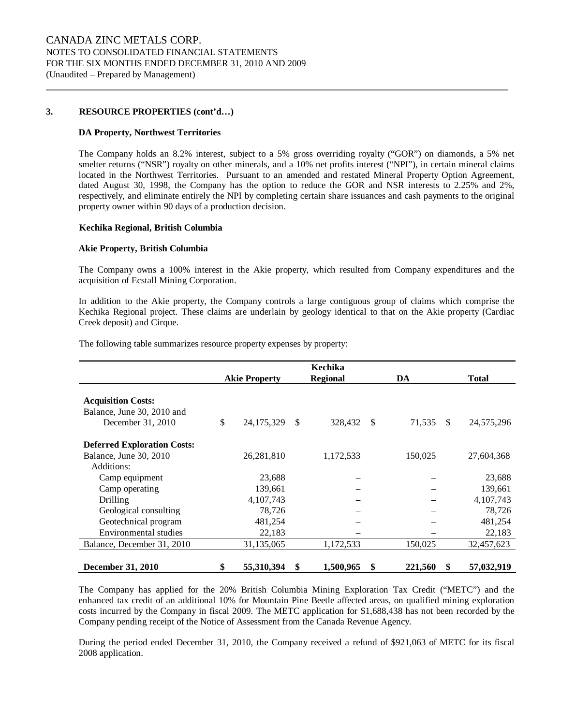#### **3. RESOURCE PROPERTIES (cont'd…)**

#### **DA Property, Northwest Territories**

The Company holds an 8.2% interest, subject to a 5% gross overriding royalty ("GOR") on diamonds, a 5% net smelter returns ("NSR") royalty on other minerals, and a 10% net profits interest ("NPI"), in certain mineral claims located in the Northwest Territories. Pursuant to an amended and restated Mineral Property Option Agreement, dated August 30, 1998, the Company has the option to reduce the GOR and NSR interests to 2.25% and 2%, respectively, and eliminate entirely the NPI by completing certain share issuances and cash payments to the original property owner within 90 days of a production decision.

#### **Kechika Regional, British Columbia**

#### **Akie Property, British Columbia**

The Company owns a 100% interest in the Akie property, which resulted from Company expenditures and the acquisition of Ecstall Mining Corporation.

In addition to the Akie property, the Company controls a large contiguous group of claims which comprise the Kechika Regional project. These claims are underlain by geology identical to that on the Akie property (Cardiac Creek deposit) and Cirque.

|                                                                              |                      |              | Kechika         |               |   |              |
|------------------------------------------------------------------------------|----------------------|--------------|-----------------|---------------|---|--------------|
|                                                                              | <b>Akie Property</b> |              | <b>Regional</b> | DA            |   | <b>Total</b> |
| <b>Acquisition Costs:</b><br>Balance, June 30, 2010 and<br>December 31, 2010 | \$<br>24, 175, 329   | $\mathbb{S}$ | 328,432 \$      | 71,535 \$     |   | 24,575,296   |
| <b>Deferred Exploration Costs:</b>                                           |                      |              |                 |               |   |              |
| Balance, June 30, 2010                                                       | 26,281,810           |              | 1,172,533       | 150,025       |   | 27,604,368   |
| Additions:                                                                   |                      |              |                 |               |   |              |
| Camp equipment                                                               | 23,688               |              |                 |               |   | 23,688       |
| Camp operating                                                               | 139,661              |              |                 |               |   | 139,661      |
| Drilling                                                                     | 4,107,743            |              |                 |               |   | 4,107,743    |
| Geological consulting                                                        | 78,726               |              |                 |               |   | 78,726       |
| Geotechnical program                                                         | 481,254              |              |                 |               |   | 481,254      |
| Environmental studies                                                        | 22,183               |              |                 |               |   | 22,183       |
| Balance, December 31, 2010                                                   | 31,135,065           |              | 1,172,533       | 150,025       |   | 32,457,623   |
| <b>December 31, 2010</b>                                                     | \$<br>55,310,394     | \$           | 1,500,965       | \$<br>221,560 | S | 57,032,919   |

The following table summarizes resource property expenses by property:

The Company has applied for the 20% British Columbia Mining Exploration Tax Credit ("METC") and the enhanced tax credit of an additional 10% for Mountain Pine Beetle affected areas, on qualified mining exploration costs incurred by the Company in fiscal 2009. The METC application for \$1,688,438 has not been recorded by the Company pending receipt of the Notice of Assessment from the Canada Revenue Agency.

During the period ended December 31, 2010, the Company received a refund of \$921,063 of METC for its fiscal 2008 application.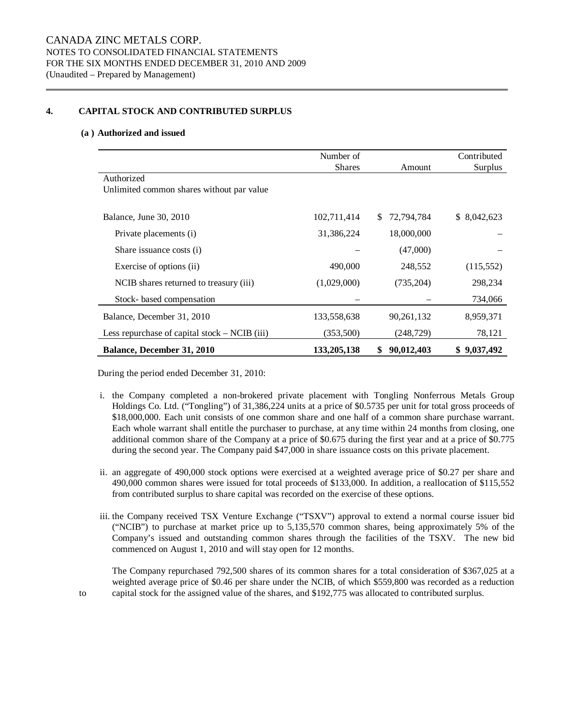#### **4. CAPITAL STOCK AND CONTRIBUTED SURPLUS**

#### **(a ) Authorized and issued**

|                                                 | Number of<br><b>Shares</b> | Amount            | Contributed<br>Surplus |
|-------------------------------------------------|----------------------------|-------------------|------------------------|
| Authorized                                      |                            |                   |                        |
| Unlimited common shares without par value       |                            |                   |                        |
|                                                 |                            |                   |                        |
| Balance, June 30, 2010                          | 102,711,414                | 72,794,784<br>\$. | \$8,042,623            |
| Private placements (i)                          | 31,386,224                 | 18,000,000        |                        |
| Share issuance costs (i)                        |                            | (47,000)          |                        |
| Exercise of options (ii)                        | 490,000                    | 248,552           | (115, 552)             |
| NCIB shares returned to treasury (iii)          | (1,029,000)                | (735,204)         | 298,234                |
| Stock- based compensation                       |                            |                   | 734,066                |
| Balance, December 31, 2010                      | 133,558,638                | 90,261,132        | 8,959,371              |
| Less repurchase of capital stock $-$ NCIB (iii) | (353,500)                  | (248, 729)        | 78,121                 |
| <b>Balance, December 31, 2010</b>               | 133, 205, 138              | 90,012,403<br>S   | \$9,037,492            |

During the period ended December 31, 2010:

- i. the Company completed a non-brokered private placement with Tongling Nonferrous Metals Group Holdings Co. Ltd. ("Tongling") of 31,386,224 units at a price of \$0.5735 per unit for total gross proceeds of \$18,000,000. Each unit consists of one common share and one half of a common share purchase warrant. Each whole warrant shall entitle the purchaser to purchase, at any time within 24 months from closing, one additional common share of the Company at a price of \$0.675 during the first year and at a price of \$0.775 during the second year. The Company paid \$47,000 in share issuance costs on this private placement.
- ii. an aggregate of 490,000 stock options were exercised at a weighted average price of \$0.27 per share and 490,000 common shares were issued for total proceeds of \$133,000. In addition, a reallocation of \$115,552 from contributed surplus to share capital was recorded on the exercise of these options.
- iii. the Company received TSX Venture Exchange ("TSXV") approval to extend a normal course issuer bid ("NCIB") to purchase at market price up to 5,135,570 common shares, being approximately 5% of the Company's issued and outstanding common shares through the facilities of the TSXV. The new bid commenced on August 1, 2010 and will stay open for 12 months.

The Company repurchased 792,500 shares of its common shares for a total consideration of \$367,025 at a weighted average price of \$0.46 per share under the NCIB, of which \$559,800 was recorded as a reduction to capital stock for the assigned value of the shares, and \$192,775 was allocated to contributed surplus.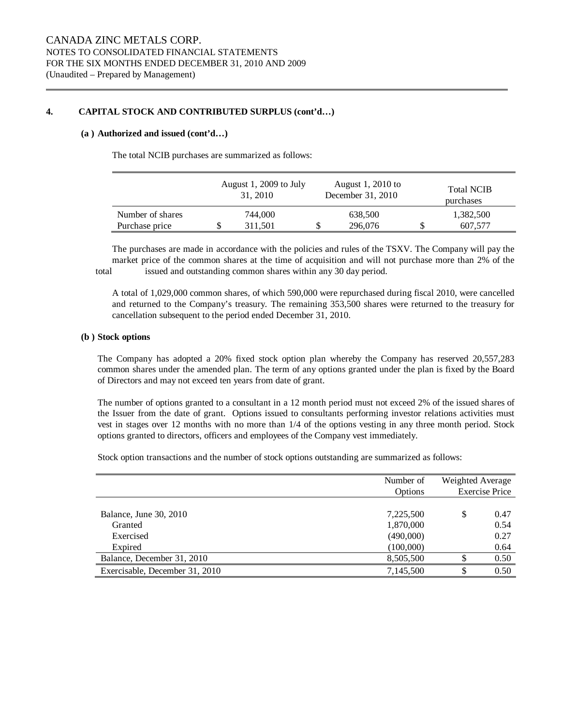#### **4. CAPITAL STOCK AND CONTRIBUTED SURPLUS (cont'd…)**

#### **(a ) Authorized and issued (cont'd…)**

The total NCIB purchases are summarized as follows:

|                  |   | August 1, 2009 to July<br>31, 2010 |    | August 1, 2010 to<br>December 31, 2010 | <b>Total NCIB</b><br>purchases |
|------------------|---|------------------------------------|----|----------------------------------------|--------------------------------|
| Number of shares |   | 744,000                            |    | 638,500                                | 1,382,500                      |
| Purchase price   | S | 311.501                            | J) | 296,076                                | 607.577                        |

The purchases are made in accordance with the policies and rules of the TSXV. The Company will pay the market price of the common shares at the time of acquisition and will not purchase more than 2% of the total issued and outstanding common shares within any 30 day period.

A total of 1,029,000 common shares, of which 590,000 were repurchased during fiscal 2010, were cancelled and returned to the Company's treasury. The remaining 353,500 shares were returned to the treasury for cancellation subsequent to the period ended December 31, 2010.

#### **(b ) Stock options**

The Company has adopted a 20% fixed stock option plan whereby the Company has reserved 20,557,283 common shares under the amended plan. The term of any options granted under the plan is fixed by the Board of Directors and may not exceed ten years from date of grant.

The number of options granted to a consultant in a 12 month period must not exceed 2% of the issued shares of the Issuer from the date of grant. Options issued to consultants performing investor relations activities must vest in stages over 12 months with no more than 1/4 of the options vesting in any three month period. Stock options granted to directors, officers and employees of the Company vest immediately.

Stock option transactions and the number of stock options outstanding are summarized as follows:

|                                   | Number of<br>Options   | Weighted Average<br><b>Exercise Price</b> |              |
|-----------------------------------|------------------------|-------------------------------------------|--------------|
| Balance, June 30, 2010<br>Granted | 7,225,500<br>1,870,000 | \$                                        | 0.47<br>0.54 |
| Exercised<br>Expired              | (490,000)<br>(100,000) |                                           | 0.27<br>0.64 |
| Balance, December 31, 2010        | 8,505,500              |                                           | 0.50         |
| Exercisable, December 31, 2010    | 7,145,500              |                                           | 0.50         |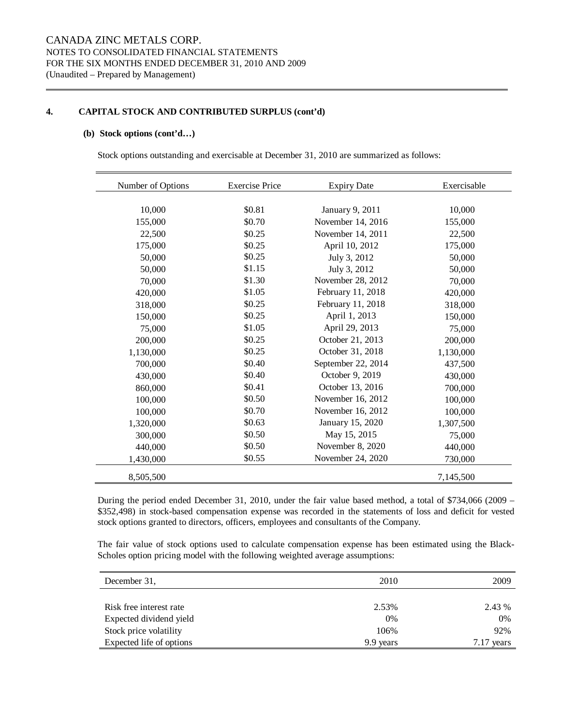#### **4. CAPITAL STOCK AND CONTRIBUTED SURPLUS (cont'd)**

#### **(b) Stock options (cont'd…)**

Stock options outstanding and exercisable at December 31, 2010 are summarized as follows:

| Number of Options | <b>Exercise Price</b> | <b>Expiry Date</b> | Exercisable |
|-------------------|-----------------------|--------------------|-------------|
|                   |                       |                    |             |
| 10,000            | \$0.81                | January 9, 2011    | 10,000      |
| 155,000           | \$0.70                | November 14, 2016  | 155,000     |
| 22,500            | \$0.25                | November 14, 2011  | 22,500      |
| 175,000           | \$0.25                | April 10, 2012     | 175,000     |
| 50,000            | \$0.25                | July 3, 2012       | 50,000      |
| 50,000            | \$1.15                | July 3, 2012       | 50,000      |
| 70,000            | \$1.30                | November 28, 2012  | 70,000      |
| 420,000           | \$1.05                | February 11, 2018  | 420,000     |
| 318,000           | \$0.25                | February 11, 2018  | 318,000     |
| 150,000           | \$0.25                | April 1, 2013      | 150,000     |
| 75,000            | \$1.05                | April 29, 2013     | 75,000      |
| 200,000           | \$0.25                | October 21, 2013   | 200,000     |
| 1,130,000         | \$0.25                | October 31, 2018   | 1,130,000   |
| 700,000           | \$0.40                | September 22, 2014 | 437,500     |
| 430,000           | \$0.40                | October 9, 2019    | 430,000     |
| 860,000           | \$0.41                | October 13, 2016   | 700,000     |
| 100,000           | \$0.50                | November 16, 2012  | 100,000     |
| 100,000           | \$0.70                | November 16, 2012  | 100,000     |
| 1,320,000         | \$0.63                | January 15, 2020   | 1,307,500   |
| 300,000           | \$0.50                | May 15, 2015       | 75,000      |
| 440,000           | \$0.50                | November 8, 2020   | 440,000     |
| 1,430,000         | \$0.55                | November 24, 2020  | 730,000     |
| 8,505,500         |                       |                    | 7,145,500   |

During the period ended December 31, 2010, under the fair value based method, a total of \$734,066 (2009 – \$352,498) in stock-based compensation expense was recorded in the statements of loss and deficit for vested stock options granted to directors, officers, employees and consultants of the Company.

The fair value of stock options used to calculate compensation expense has been estimated using the Black-Scholes option pricing model with the following weighted average assumptions:

| December 31,             | 2010      | 2009   |
|--------------------------|-----------|--------|
|                          |           |        |
| Risk free interest rate  | 2.53%     | 2.43 % |
| Expected dividend yield  | 0%        | 0%     |
| Stock price volatility   | 106%      | 92%    |
| Expected life of options | 9.9 years | vears  |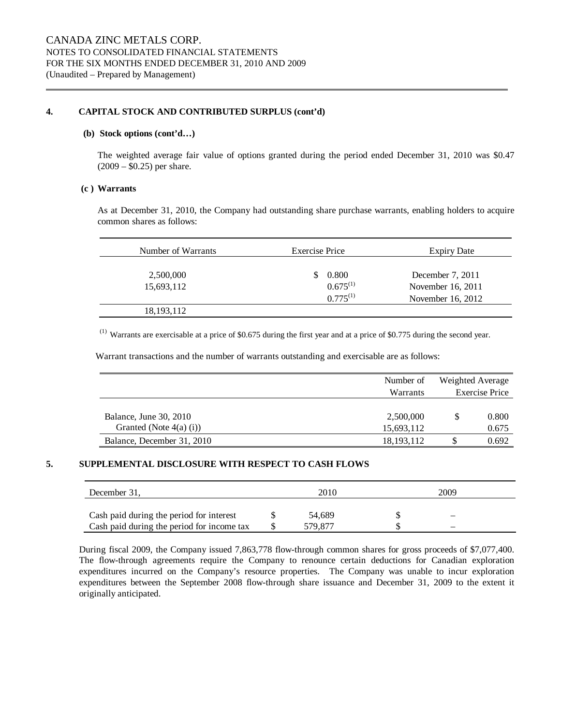#### **4. CAPITAL STOCK AND CONTRIBUTED SURPLUS (cont'd)**

#### **(b) Stock options (cont'd…)**

The weighted average fair value of options granted during the period ended December 31, 2010 was \$0.47  $(2009 - $0.25)$  per share.

#### **(c ) Warrants**

As at December 31, 2010, the Company had outstanding share purchase warrants, enabling holders to acquire common shares as follows:

| Number of Warrants | Exercise Price | <b>Expiry Date</b> |
|--------------------|----------------|--------------------|
|                    |                |                    |
| 2,500,000          | 0.800<br>S.    | December 7, 2011   |
| 15,693,112         | $0.675^{(1)}$  | November 16, 2011  |
|                    | $0.775^{(1)}$  | November 16, 2012  |
| 18, 193, 112       |                |                    |

 $(1)$  Warrants are exercisable at a price of \$0.675 during the first year and at a price of \$0.775 during the second year.

Warrant transactions and the number of warrants outstanding and exercisable are as follows:

|                            | Number of       | Weighted Average      |       |
|----------------------------|-----------------|-----------------------|-------|
|                            | <b>Warrants</b> | <b>Exercise Price</b> |       |
|                            |                 |                       |       |
| Balance, June 30, 2010     | 2,500,000       |                       | 0.800 |
| Granted (Note $4(a)$ (i))  | 15,693,112      |                       | 0.675 |
| Balance, December 31, 2010 | 18, 193, 112    | S                     | 0.692 |

#### **5. SUPPLEMENTAL DISCLOSURE WITH RESPECT TO CASH FLOWS**

| December 31.                               | 2010<br>2009 |         |  |                          |  |
|--------------------------------------------|--------------|---------|--|--------------------------|--|
| Cash paid during the period for interest   |              | 54.689  |  | $\overline{\phantom{0}}$ |  |
| Cash paid during the period for income tax |              | 579 877 |  | -                        |  |

During fiscal 2009, the Company issued 7,863,778 flow-through common shares for gross proceeds of \$7,077,400. The flow-through agreements require the Company to renounce certain deductions for Canadian exploration expenditures incurred on the Company's resource properties. The Company was unable to incur exploration expenditures between the September 2008 flow-through share issuance and December 31, 2009 to the extent it originally anticipated.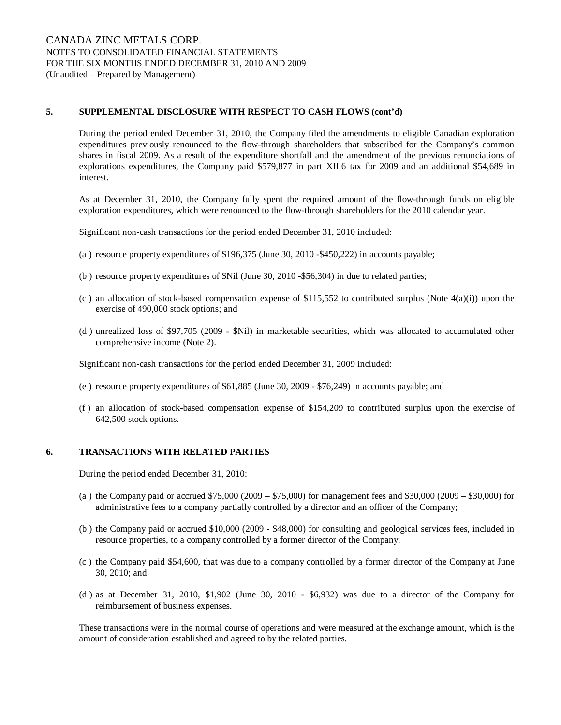#### **5. SUPPLEMENTAL DISCLOSURE WITH RESPECT TO CASH FLOWS (cont'd)**

During the period ended December 31, 2010, the Company filed the amendments to eligible Canadian exploration expenditures previously renounced to the flow-through shareholders that subscribed for the Company's common shares in fiscal 2009. As a result of the expenditure shortfall and the amendment of the previous renunciations of explorations expenditures, the Company paid \$579,877 in part XII.6 tax for 2009 and an additional \$54,689 in interest.

As at December 31, 2010, the Company fully spent the required amount of the flow-through funds on eligible exploration expenditures, which were renounced to the flow-through shareholders for the 2010 calendar year.

Significant non-cash transactions for the period ended December 31, 2010 included:

- (a ) resource property expenditures of \$196,375 (June 30, 2010 -\$450,222) in accounts payable;
- (b ) resource property expenditures of \$Nil (June 30, 2010 -\$56,304) in due to related parties;
- (c) an allocation of stock-based compensation expense of \$115,552 to contributed surplus (Note  $4(a)(i)$ ) upon the exercise of 490,000 stock options; and
- (d ) unrealized loss of \$97,705 (2009 \$Nil) in marketable securities, which was allocated to accumulated other comprehensive income (Note 2).

Significant non-cash transactions for the period ended December 31, 2009 included:

- (e ) resource property expenditures of \$61,885 (June 30, 2009 \$76,249) in accounts payable; and
- (f ) an allocation of stock-based compensation expense of \$154,209 to contributed surplus upon the exercise of 642,500 stock options.

#### **6. TRANSACTIONS WITH RELATED PARTIES**

During the period ended December 31, 2010:

- (a ) the Company paid or accrued \$75,000 (2009 \$75,000) for management fees and \$30,000 (2009 \$30,000) for administrative fees to a company partially controlled by a director and an officer of the Company;
- (b ) the Company paid or accrued \$10,000 (2009 \$48,000) for consulting and geological services fees, included in resource properties, to a company controlled by a former director of the Company;
- (c ) the Company paid \$54,600, that was due to a company controlled by a former director of the Company at June 30, 2010; and
- (d ) as at December 31, 2010, \$1,902 (June 30, 2010 \$6,932) was due to a director of the Company for reimbursement of business expenses.

These transactions were in the normal course of operations and were measured at the exchange amount, which is the amount of consideration established and agreed to by the related parties.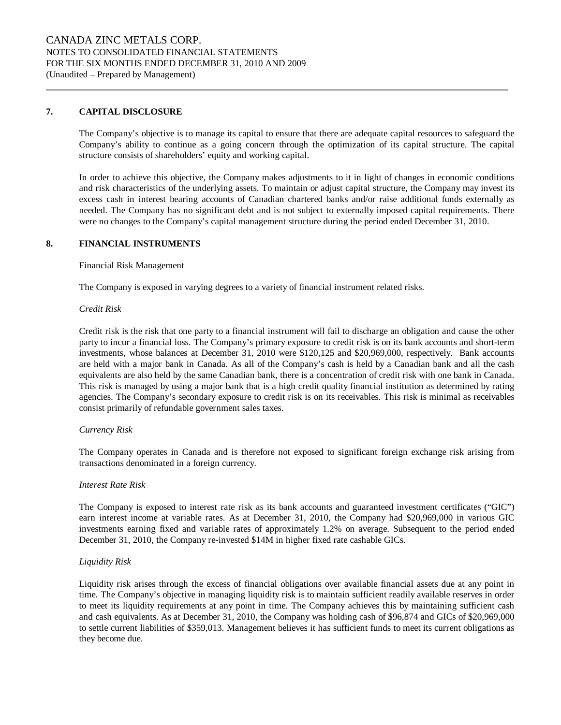#### **7. CAPITAL DISCLOSURE**

The Company's objective is to manage its capital to ensure that there are adequate capital resources to safeguard the Company's ability to continue as a going concern through the optimization of its capital structure. The capital structure consists of shareholders' equity and working capital.

In order to achieve this objective, the Company makes adjustments to it in light of changes in economic conditions and risk characteristics of the underlying assets. To maintain or adjust capital structure, the Company may invest its excess cash in interest bearing accounts of Canadian chartered banks and/or raise additional funds externally as needed. The Company has no significant debt and is not subject to externally imposed capital requirements. There were no changes to the Company's capital management structure during the period ended December 31, 2010.

#### **8. FINANCIAL INSTRUMENTS**

Financial Risk Management

The Company is exposed in varying degrees to a variety of financial instrument related risks.

#### *Credit Risk*

Credit risk is the risk that one party to a financial instrument will fail to discharge an obligation and cause the other party to incur a financial loss. The Company's primary exposure to credit risk is on its bank accounts and short-term investments, whose balances at December 31, 2010 were \$120,125 and \$20,969,000, respectively. Bank accounts are held with a major bank in Canada. As all of the Company's cash is held by a Canadian bank and all the cash equivalents are also held by the same Canadian bank, there is a concentration of credit risk with one bank in Canada. This risk is managed by using a major bank that is a high credit quality financial institution as determined by rating agencies. The Company's secondary exposure to credit risk is on its receivables. This risk is minimal as receivables consist primarily of refundable government sales taxes.

#### *Currency Risk*

The Company operates in Canada and is therefore not exposed to significant foreign exchange risk arising from transactions denominated in a foreign currency.

#### *Interest Rate Risk*

The Company is exposed to interest rate risk as its bank accounts and guaranteed investment certificates ("GIC") earn interest income at variable rates. As at December 31, 2010, the Company had \$20,969,000 in various GIC investments earning fixed and variable rates of approximately 1.2% on average. Subsequent to the period ended December 31, 2010, the Company re-invested \$14M in higher fixed rate cashable GICs.

#### *Liquidity Risk*

Liquidity risk arises through the excess of financial obligations over available financial assets due at any point in time. The Company's objective in managing liquidity risk is to maintain sufficient readily available reserves in order to meet its liquidity requirements at any point in time. The Company achieves this by maintaining sufficient cash and cash equivalents. As at December 31, 2010, the Company was holding cash of \$96,874 and GICs of \$20,969,000 to settle current liabilities of \$359,013. Management believes it has sufficient funds to meet its current obligations as they become due.